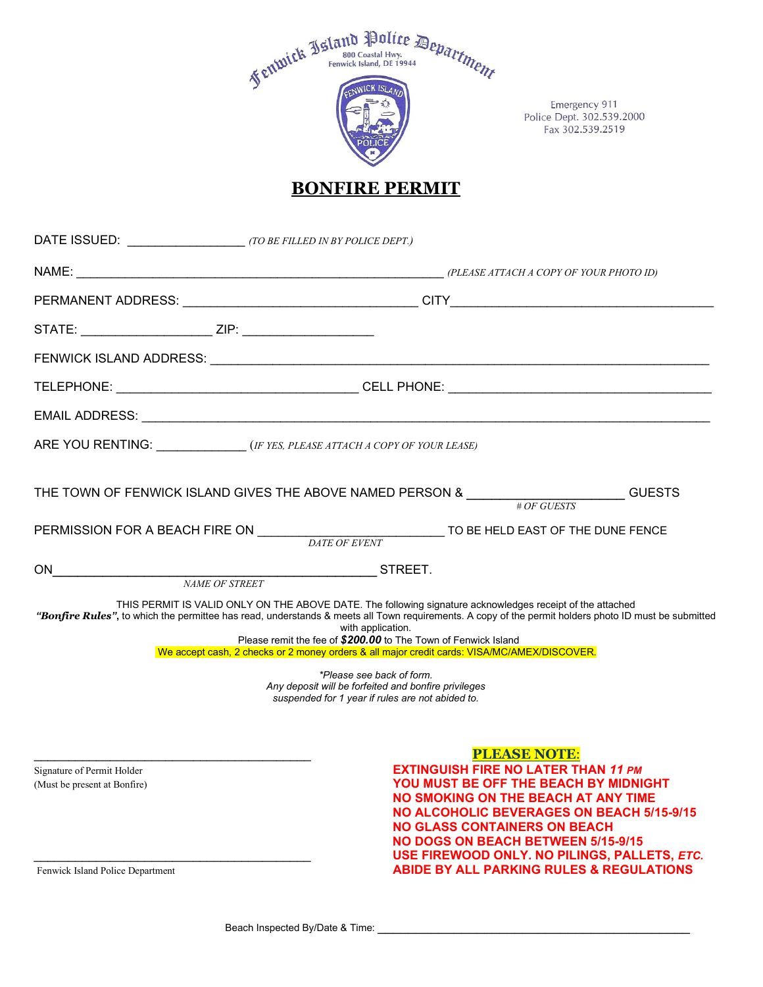

Emergency 911 Police Dept. 302.539.2000 Fax 302.539.2519

## **BONFIRE PERMIT**

| DATE ISSUED: (TO BE FILLED IN BY POLICE DEPT.)                                                 |                                                                                                                                                                                                                                                                                                                                                                                                                                                                                                                                                                                                  |  |
|------------------------------------------------------------------------------------------------|--------------------------------------------------------------------------------------------------------------------------------------------------------------------------------------------------------------------------------------------------------------------------------------------------------------------------------------------------------------------------------------------------------------------------------------------------------------------------------------------------------------------------------------------------------------------------------------------------|--|
|                                                                                                |                                                                                                                                                                                                                                                                                                                                                                                                                                                                                                                                                                                                  |  |
|                                                                                                |                                                                                                                                                                                                                                                                                                                                                                                                                                                                                                                                                                                                  |  |
| STATE: __________________________ZIP: _________________________                                |                                                                                                                                                                                                                                                                                                                                                                                                                                                                                                                                                                                                  |  |
|                                                                                                |                                                                                                                                                                                                                                                                                                                                                                                                                                                                                                                                                                                                  |  |
|                                                                                                |                                                                                                                                                                                                                                                                                                                                                                                                                                                                                                                                                                                                  |  |
|                                                                                                |                                                                                                                                                                                                                                                                                                                                                                                                                                                                                                                                                                                                  |  |
| ARE YOU RENTING: _____________(IF YES, PLEASE ATTACH A COPY OF YOUR LEASE)                     |                                                                                                                                                                                                                                                                                                                                                                                                                                                                                                                                                                                                  |  |
|                                                                                                | GUESTS                                                                                                                                                                                                                                                                                                                                                                                                                                                                                                                                                                                           |  |
|                                                                                                | TO BE HELD EAST OF THE DUNE FENCE                                                                                                                                                                                                                                                                                                                                                                                                                                                                                                                                                                |  |
| ON                                                                                             | $\overline{\phantom{iiiiiiiiiiiiiiiiiiiiiiiiiiiiiiiiiiiiiiii}}$ STREET.                                                                                                                                                                                                                                                                                                                                                                                                                                                                                                                          |  |
|                                                                                                | THIS PERMIT IS VALID ONLY ON THE ABOVE DATE. The following signature acknowledges receipt of the attached<br>"Bonfire Rules", to which the permittee has read, understands & meets all Town requirements. A copy of the permit holders photo ID must be submitted<br>with application.<br>Please remit the fee of \$200.00 to The Town of Fenwick Island<br>We accept cash, 2 checks or 2 money orders & all major credit cards: VISA/MC/AMEX/DISCOVER.<br>*Please see back of form.<br>Any deposit will be forfeited and bonfire privileges<br>suspended for 1 year if rules are not abided to. |  |
| Signature of Permit Holder<br>(Must be present at Bonfire)<br>Fenwick Island Police Department | <b>PLEASE NOTE:</b><br><b>EXTINGUISH FIRE NO LATER THAN 11 PM</b><br>YOU MUST BE OFF THE BEACH BY MIDNIGHT<br>NO SMOKING ON THE BEACH AT ANY TIME<br><b>NO ALCOHOLIC BEVERAGES ON BEACH 5/15-9/15</b><br><b>NO GLASS CONTAINERS ON BEACH</b><br><b>NO DOGS ON BEACH BETWEEN 5/15-9/15</b><br>USE FIREWOOD ONLY. NO PILINGS, PALLETS, ETC.<br><b>ABIDE BY ALL PARKING RULES &amp; REGULATIONS</b>                                                                                                                                                                                                 |  |

Beach Inspected By/Date & Time: